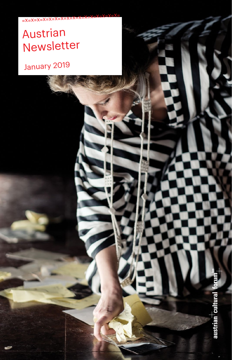# Austrian Newsletter

 $=X=X=X=X=X=X=X=X$ 

# January 2019

austrian cultural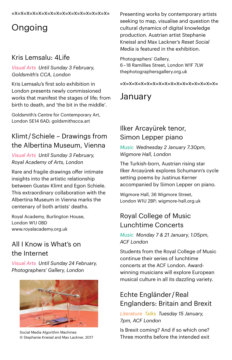#### =x=x=x=x=x=x=x=x=x=x=x=x=x=x=x=x=

# Ongoing

#### Kris Lemsalu: 4Life

#### *Visual Arts Until Sunday 3 February, Goldsmith's CCA, London*

Kris Lemsalu's first solo exhibition in London presents newly commissioned works that manifest the stages of life; from birth to death, and 'the bit in the middle'.

Goldsmith's Centre for Contemporary Art, London SE14 6AD; goldsmithscca.art

# Klimt / Schiele – Drawings from the Albertina Museum, Vienna

*Visual Arts Until Sunday 3 February, Royal Academy of Arts, London* 

Rare and fragile drawings offer intimate insights into the artistic relationship between Gustav Klimt and Egon Schiele. This extraordinary collaboration with the Albertina Museum in Vienna marks the centenary of both artists' deaths.

Royal Academy, Burlington House, London W1J 0BD www.[royalacademy.org.uk](http://www.royalacademy.org.uk)

# All I Know is What's on the Internet

*Visual Arts Until Sunday 24 February, Photographers' Gallery, London*



Social Media Algorithm Machines © Stephanie Kneissl and Max Lackner, 2017

Presenting works by contemporary artists seeking to map, visualise and question the cultural dynamics of digital knowledge production. Austrian artist Stephanie Kneissl and Max Lackner's *Reset Social Media* is featured in the exhibition.

Photographers' Gallery, 6 – 18 Ramillies Street, London W1F 7LW [thephotographersgallery.org.uk](https://thephotographersgallery.org.uk)

=x=x=x=x=x=x=x=x=x=x=x=x=x=x=x=x=

# January

# Ilker Arcayürek tenor, Simon Lepper piano

*Music Wednesday 2 January 7.30pm, Wigmore Hall, London*

The Turkish-born, Austrian rising star Ilker Arcayürek explores Schumann's cycle setting poems by Justinus Kerner accompanied by Simon Lepper on piano.

Wigmore Hall, 36 Wigmore Street, London W1U 2BP; [wigmore-hall.org.uk](https://wigmore-hall.org.uk)

#### Royal College of Music Lunchtime Concerts

*Music Monday 7 & 21 January, 1.05pm, ACF London*

Students from the Royal College of Music continue their series of lunchtime concerts at the ACF London. Awardwinning musicians will explore European musical culture in all its dazzling variety.

# Echte Engländer / Real Englanders: Britain and Brexit

*Literature Talks Tuesday 15 January, 7pm, ACF London*

Is Brexit coming? And if so which one? Three months before the intended exit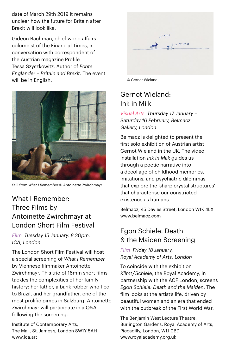date of March 29th 2019 it remains unclear how the future for Britain after Brexit will look like.

Gideon Rachman, chief world affairs columnist of the Financial Times, in conversation with correspondent of the Austrian magazine Profile Tessa Szyszkowitz, Author of *Echte Engländer – Britain and Brexit*. The event will be in English. **We are all that the intervalse of the Contract Of Gernot Wieland** 



Still from *What I Remember* © Antoinette Zwirchmayr

# What I Remember: Three Films by Antoinette Zwirchmayr at London Short Film Festival

*Film Tuesday 15 January, 8.30pm, ICA, London*

The London Short Film Festival will host a special screening of *What I Remember* by Viennese filmmaker Antoinette Zwirchmayr. This trio of 16mm short films tackles the complexities of her family history: her father, a bank robber who fled to Brazil, and her grandfather, one of the most prolific pimps in Salzburg. Antoinette Zwirchmayr will participate in a Q&A following the screening.

Institute of Contemporary Arts, The Mall, St. James's, London SW1Y 5AH [www.ica.art](http://www.ica.art)



#### Gernot Wieland: Ink in Milk

*Visual Arts Thursday 17 January – Saturday 16 February, Belmacz Gallery, London*

Belmacz is delighted to present the first solo exhibition of Austrian artist Gernot Wieland in the UK. The video installation *Ink in Milk* guides us through a poetic narrative into a décollage of childhood memories, imitations, and psychiatric dilemmas that explore the 'sharp crystal structures' that characterise our constricted existence as humans.

Belmacz, 45 Davies Street, London W1K 4LX www[.belmacz.com](http://belmacz.com)

#### Egon Schiele: Death & the Maiden Screening

*Film Friday 18 January, Royal Academy of Arts, London*

To coincide with the exhibition *Klimt / Schiele*, the Royal Academy, in partnership with the ACF London, screens *Egon Schiele: Death and the Maiden*. The film looks at the artist's life, driven by beautiful women and an era that ended with the outbreak of the First World War.

The Benjamin West Lecture Theatre, Burlington Gardens, Royal Academy of Arts, Piccadilly, London, W1J 0BD [www.royalacademy.org.uk](http://www.royalacademy.org.uk)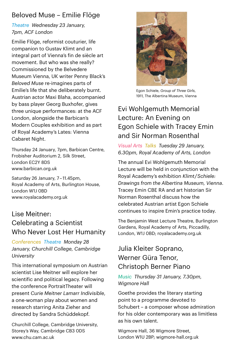# Beloved Muse – Emilie Flöge

#### *Theatre Wednesday 23 January, 7pm, ACF London*

Emilie Flöge, reformist couturier, life companion to Gustav Klimt and an integral part of Vienna's fin de siècle art movement. But who was she really? Commissioned by the Belvedere Museum Vienna, UK writer Penny Black's *Beloved Muse* re-imagines parts of Emilie's life that she deliberately burnt. Austrian actor Maxi Blaha, accompanied by bass player Georg Buxhofer, gives three unique performances: at the ACF London, alongside the Barbican's Modern Couples exhibition and as part of Royal Academy's Lates: Vienna Cabaret Night.

Thursday 24 January, 7pm, Barbican Centre, Frobisher Auditorium 2, Silk Street, London EC2Y 8DS www.[barbican.org.uk](http://www.barbican.org.uk)

Saturday 26 January, 7 – 11.45pm, Royal Academy of Arts, Burlington House, London W1J 0BD www.[royalacademy.org.uk](http://www.royalacademy.org.uk)

#### Lise Meitner: Celebrating a Scientist Who Never Lost Her Humanity

*Conferences Theatre Monday 28 January, Churchill College, Cambridge University*

This international symposium on Austrian scientist Lise Meitner will explore her scientific and political legacy. Following the conference PortraitTheater will present *Curie Meitner Lamarr Indivisible*, a one-woman play about women and research starring Anita Zieher and directed by Sandra Schüddekopf.

Churchill College, Cambridge University, Storey's Way, Cambridge CB3 0DS [www.chu.cam.ac.uk](http://www.chu.cam.ac.uk) 



Egon Schiele, *Group of Three Girls*, 1911, The Albertina Museum, Vienna

# Evi Wohlgemuth Memorial Lecture: An Evening on Egon Schiele with Tracey Emin and Sir Norman Rosenthal

#### *Visual Arts Talks Tuesday 29 January, 6.30pm, Royal Academy of Arts, London*

The annual Evi Wohlgemuth Memorial Lecture will be held in conjunction with the Royal Academy's exhibition *Klimt / Schiele: Drawings from the Albertina Museum, Vienna*. Tracey Emin CBE RA and art historian Sir Norman Rosenthal discuss how the celebrated Austrian artist Egon Schiele continues to inspire Emin's practice today.

The Benjamin West Lecture Theatre, Burlington Gardens, Royal Academy of Arts, Piccadilly, London, W1J 0BD; [royalacademy.org.uk](http://www.royalacademy.org.uk) 

#### Julia Kleiter Soprano, Werner Güra Tenor, Christoph Berner Piano

#### *Music Thursday 31 January, 7.30pm, Wigmore Hall*

Goethe provides the literary starting point to a programme devoted to Schubert – a composer whose admiration for his older contemporary was as limitless as his own talent.

Wigmore Hall, 36 Wigmore Street, London W1U 2BP; [wigmore-hall.org.uk](https://wigmore-hall.org.uk)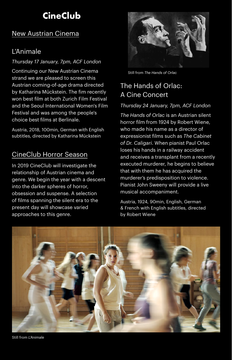# **CineClub**

#### New Austrian Cinema

#### L'Animale

#### *Thursday 17 January, 7pm, ACF London*

Continuing our New Austrian Cinema strand we are pleased to screen this Austrian coming-of-age drama directed by Katharina Mückstein. The fim recently won best film at both Zurich Film Festival and the Seoul International Women's Film Festival and was among the people's choice best films at Berlinale.

Austria, 2018, 100min, German with English subtitles, directed by Katharina Mückstein

#### CineClub Horror Season

In 2019 CineClub will investigate the relationship of Austrian cinema and genre. We begin the year with a descent into the darker spheres of horror, obsession and suspense. A selection of films spanning the silent era to the present day will showcase varied approaches to this genre.



Still from *The Hands of Orlac*

# The Hands of Orlac: A Cine Concert

#### *Thursday 24 January, 7pm, ACF London*

*The Hands of Orlac* is an Austrian silent horror film from 1924 by Robert Wiene, who made his name as a director of expressionist films such as *The Cabinet of Dr. Caligari*. When pianist Paul Orlac loses his hands in a railway accident and receives a transplant from a recently executed murderer, he begins to believe that with them he has acquired the murderer's predisposition to violence. Pianist John Sweeny will provide a live musical accompaniment.

Austria, 1924, 90min, English, German & French with English subtitles, directed by Robert Wiene



Still from *L'Animale*